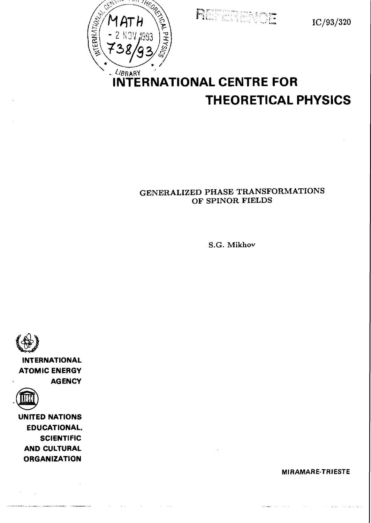



IC/93/320

# **INTERNATIONAL CENTRE FOR THEORETICAL PHYSICS**

### GENERALIZED PHASE TRANSFORMATIONS OF SPINOR FIELDS

S.G. Mikhov



**INTERNATIONAL ATOMIC ENERGY AGENCY**



**UNITED NATIONS EDUCATIONAL, SCIENTIFIC AND CULTURAL ORGANIZATION**

**MIRAMARE-TRIESTE**

and the company of the company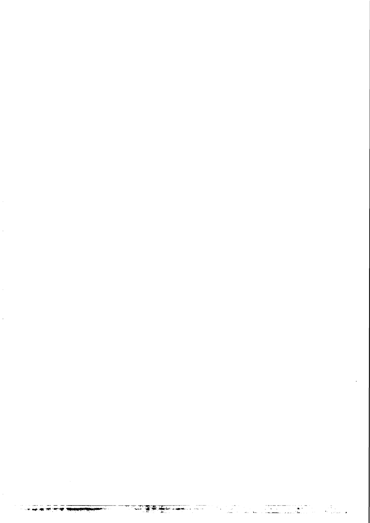l,  $\hat{\mathbf{r}}$  $\frac{1}{2}$  $\frac{1}{2}$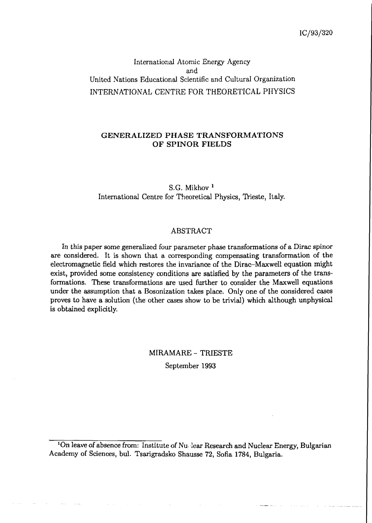#### International Atomic Energy Agency and United Nations Educational Scientific and Cultural Organization INTERNATIONAL CENTRE FOR THEORETICAL PHYSICS

#### **GENERALIZED PHASE TRANSFORMATIONS OF SPINOR FIELDS**

S.G. Mikhov  *l* International Centre for Theoretical Physics, Trieste, Italy.

#### ABSTRACT

In this paper some generalized four parameter phase transformations of a Dirac spinor are considered. It is shown that a corresponding compensating transformation of the electromagnetic field which restores the invariance of the Dirac-Maxwell equation might exist, provided some consistency conditions are satisfied by the parameters of the transformations. These transformations are used further to consider the Maxwell equations under the assumption that a Bosonization takes place. Only one of the considered cases proves to have a solution (the other cases show to be trivial) which although unphysical is obtained explicitly.

### MIRAMARE - TRIESTE September 1993

<sup>&</sup>lt;sup>1</sup>On leave of absence from: Institute of Nu lear Research and Nuclear Energy, Bulgarian Academy of Sciences, bul. Tsarigradsko Shausse 72, Sofia 1784, Bulgaria.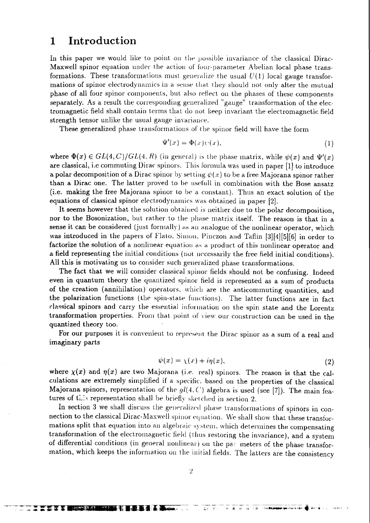## 1 Introduction

In this paper we would like to point on the possible invariance of the classical Dirac-Maxwell spinor equation under the action of four-parameter Abelian local phase transformations. These transformations must generalize the usual  $U(1)$  local gauge transformations of spinor electrodynamics in a sense that they should not only alter the mutual phase of all four spinor components, but also reflect on the phases of these components  $s$ eparately. As a result the corresponding generalized "gauge" transformation of the electromagnetic field shall contain terms that do not keep invariant the electromagnetic field strength tensor unlike the usual gauge invariance.

These generalized phase transformations of the spinor field will have the form

$$
\Psi'(x) = \Phi(x)v(x),\tag{1}
$$

where  $\Phi(x) \in GL(4, C)/GL(4, R)$  (in general) is the phase matrix, while  $\psi(x)$  and  $\Psi'(x)$ are classical, i.e commuting Dirac spinors. This formula was used in paper [1] to introduce a polar decomposition of a Dirac spinor by setting  $\psi(x)$  to be a free Majorana spinor rather than a Dirac one. The latter proved to be usefull in combination with the Bose ansatz **(i.e. making the free** Majorana spinor to be a constant). Thus an exact solution of the equations of classical spinor electrodynamics was obtained in paper [2].

It **seems** however that the solution obtained is neither due to the polar decomposition, nor to **the** Bosonization, but rather to the phase matrix itself. The reason is that in a sense it **can** be considered (just formally) as an analogue of the nonlinear operator, which was introduced in the papers of Flato, Simon. Pinczon and Taflin [3][4][5][6] in order to factorize **the** solution of a nonlinear equation as a product of this nonlinear operator and **a field representing** the initial conditions (not necessarily the free field initial conditions). **All this is motivating** us **to** consider such generalized phase transformations.

**The fact that** we will consider classical spinor fields should not be confusing. Indeed **even in quantum** theory the quantized spinor field is represented as a sum of products of **the** creation (annihilation) operators, which are the anticommuting quantities, **and the polarization functions** (the spin-state functions). The latter functions are in fact classical spinors and carry the essential information on the spin state and the Lorentz **transformation** properties. From that, point of view our construction can be used **in** the **quantized theory** too.

**For our purposes** it is convenient to represent the Dirac spinor as a sum of a real **and imaginary parts**

$$
\psi(x) = \chi(x) + i\eta(x),\tag{2}
$$

 $\mathbf{v}$ 

 $40 - 20$ 

(b) 24 - 14 - 199 PASSAGE SECTION THE

where  $\chi(x)$  and  $\eta(x)$  are two Majorana (i.e. real) spinors. The reason is that the calculations are extremely simplified if a specific, based on the properties of the classical **Majorana** spinors, representation of the *gl(4.C)* algebra is used (see [7]). The main features of ti.is representation shall be briefly sketched in section 2.

In section 3 we shall discuss the generalized phase transformations of spinors in connection to the classical Dirac-Maxwell spinor equation. We shall show that these transformations split that equation into an algebraic system, which determines the compensating transformation of the electromagnetic field (thus restoring the invariance), and a system of differential conditions (in general nonlinear) on the par meters of the phase transformation, which keeps the information on the initial fields. The latters are the consistency

TT TIMAN TIMA TIMA TIMAN TIMAN TIMA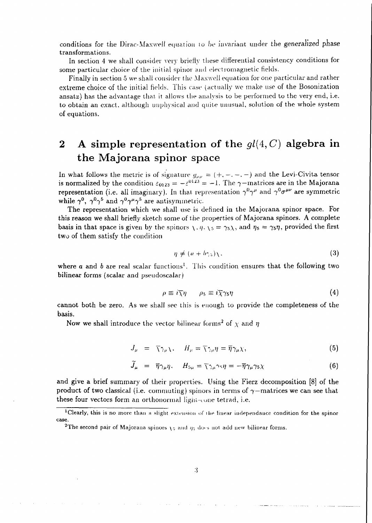conditions for the Dirac-Maxwell equation to *he* invariant under the *generalized* phase transformations.

In section 4 we shall consider very briefly these differential consistency conditions for some particular choice of the initial spinor and electromagnetic fields.

Finally in section 5 we shall consider the Maxwell equation for one particular and rather extreme choice of the initial fields. This case (actually we make use of the Bosonization ansatz) has the advantage that it allows the analysis to be performed to the very end, i.e. to obtain an exact, although unphysical and quite unusual, solution of the whole system of equations.

# 2 A simple representation of the  $ql(4, C)$  algebra in the Majorana spinor space

In what follows the metric is of signature  $g_{\mu\mu} = (+, -, -,-)$  and the Levi-Civita tensor is normalized by the condition  $\varepsilon_{0123} = -\varepsilon^{0123} = -1$ . The  $\gamma$ -matrices are in the Majorana representation (i.e. all imaginary). In that representation  $\gamma^0\gamma^\mu$  and  $\gamma^0\sigma^{\mu\nu}$  are symmetric while  $\gamma^0$ ,  $\gamma^0\gamma^5$  and  $\gamma^0\gamma^\mu\gamma^5$  are antisymmetric.

The representation which we shall use is defined in the Majorana spinor space. For this reason we shall briefly sketch some of the properties of Majorana spinors. A complete basis in that space is given by the spinors  $\chi$ ,  $\eta$ ,  $\chi_5 = \gamma_5 \chi$ , and  $\eta_5 = \gamma_5 \eta$ , provided the first two of them satisfy the condition

$$
\eta \neq (a+b\gamma_5)\chi,\tag{3}
$$

where a and b are real scalar functions<sup>1</sup>. This condition ensures that the following two bilinear forms (scalar and pseudoscalar)

$$
\rho \equiv i \overline{\chi} \eta \qquad \rho_5 \equiv i \overline{\chi} \gamma_5 \eta \tag{4}
$$

cannot both be zero. As we shall see this is enough to provide the completeness of the basis.

Now we shall introduce the vector bilinear forms<sup>2</sup> of  $\chi$  and  $\eta$ 

$$
J_{\mu} = \overline{\chi} \gamma_{\mu} \chi, \quad H_{\mu} = \overline{\chi} \gamma_{\mu} \eta = \overline{\eta} \gamma_{\mu} \chi, \tag{5}
$$

$$
\tilde{J}_{\mu} = \overline{\eta} \gamma_{\mu} \eta, \quad H_{5\mu} = \overline{\chi} \gamma_{\mu} \gamma_5 \eta = -\overline{\eta} \gamma_{\mu} \gamma_5 \chi \tag{6}
$$

and give a brief summary of their properties. Using the Fierz decomposition [8] of the product of two classical (i.e. commuting) spinors in terms of  $\gamma$ -matrices we can see that these four vectors form an orthonormal ligiu-tune tetrad, i.e.

<sup>&</sup>lt;sup>1</sup>Clearly, this is no more than a slight extension of the linear independance condition for the spinor case.

<sup>&</sup>lt;sup>2</sup>The second pair of Majorana spinors  $\chi_5$  and  $\eta_5$  does not add new bilinear forms.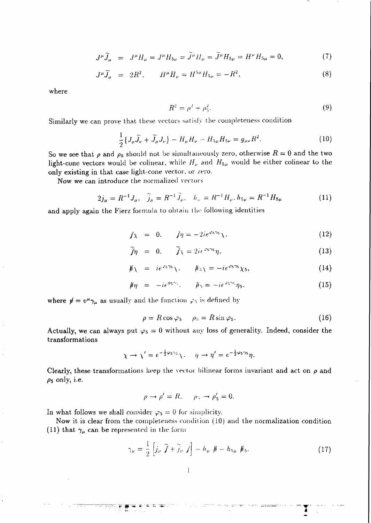$$
J^{\mu}\tilde{J}_{\mu} = J^{\mu}H_{\mu} = J^{\mu}H_{5\mu} = \tilde{J}^{\mu}H_{\mu} = \tilde{J}^{\mu}H_{5\mu} = H^{\mu}H_{5\mu} = 0,
$$
 (7)

$$
J^{\mu}\widetilde{J}_{\mu} = 2R^2, \qquad H^{\mu}H_{\mu} = H^{5\mu}H_{5\mu} = -R^2,
$$
\n(8)

where

$$
R^2 = \rho^2 + \rho_5^2.
$$
 (9)

Similarly we can prove that these vectors satisfy the completeness condition

$$
\frac{1}{2}\{J_{\mu}\tilde{J}_{\nu} + \tilde{J}_{\mu}J_{\nu}\} - H_{\mu}H_{\nu} - H_{5\mu}H_{5\nu} = g_{\mu\nu}R^2.
$$
 (10)

So we see that  $\rho$  and  $\rho$ <sub>5</sub> should not be simultaneously zero, otherwise  $R = 0$  and the two light-cone vectors would be colinear, while  $H<sub>p</sub>$  and  $H<sub>5\mu</sub>$  would be either colinear to the only existing in that case light-cone vector, or zero.

Now we can introduce the normalized vectors

$$
2j_{\mu} = R^{-1}J_{\mu}, \quad \tilde{j}_{\mu} = R^{-1}\tilde{J}_{\mu}, \quad h_{\mu} = R^{-1}H_{\mu}, h_{5\mu} = R^{-1}H_{5\mu}
$$
(11)

and apply again the Fierz formula to obtain the following identities

$$
f\chi = 0, \qquad f\eta = -2ie^{\varphi_5\gamma_5}\chi,\tag{12}
$$

$$
\widetilde{\jmath}\eta = 0, \qquad \widetilde{\jmath}\gamma = 2i\epsilon^{25\gamma_5}\eta. \tag{13}
$$

$$
\mathbf{\#}_{\lambda} = ie^{2s\gamma_5}\lambda, \qquad \mathbf{\#}_{5\lambda} = -ie^{2s\gamma_5}\lambda_5, \tag{14}
$$

$$
\sharp \eta = -ie^{\varphi_5 \gamma_5}, \qquad \sharp_5 = -ie^{\varphi_5 \gamma_5} \eta_5, \tag{15}
$$

where  $\rlap/v = v^{\mu} \gamma_{\mu}$  as usually and the function  $\varphi_{5}$  is defined by

$$
\rho = R\cos\varphi_5 \qquad \rho_5 = R\sin\varphi_5. \tag{16}
$$

Actually, we can always put  $\varphi_5 = 0$  without any loss of generality. Indeed, consider the transformations

$$
\chi \to \chi' = e^{-\frac{1}{2}\varphi_5\gamma_5}\chi, \quad \eta \to \eta' = e^{-\frac{1}{2}\varphi_5\gamma_5}\eta.
$$

Clearly, these transformations keep the vector bilinear forms invariant and act on *p* and  $\rho_5$  only, i.e.

$$
\rho \to \rho' = R, \quad \rho_5 \to \rho'_5 = 0.
$$

In what follows we shall consider  $\varphi_5 = 0$  for simplicity.

Now it is clear from the completeness condition  $(10)$  and the normalization condition (11) that  $\gamma_{\mu}$  can be represented in the form

$$
\gamma_{\mu} = \frac{1}{2} \left[ j_{\mu} \; \widetilde{J} + \widetilde{j}_{\mu} \; j \right] - h_{\mu} \; \cancel{\kappa} - h_{5\mu} \; \cancel{\kappa}_{5}.
$$
 (17)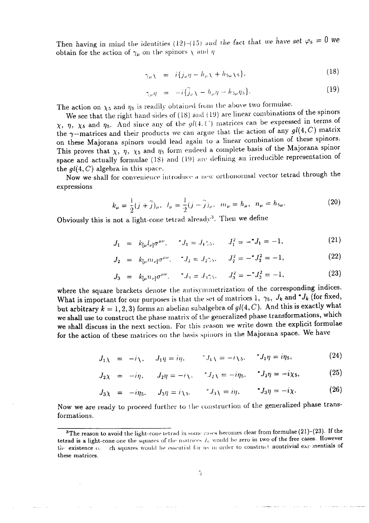Then having in mind the identities (12)–(15) and the fact that we have set  $\varphi_5 = 0$  we obtain for the action of  $\gamma_{\mu}$  on the spinors  $\chi$  and  $\eta$ 

$$
\gamma_{\mu\lambda} = i\{j_{\mu}\eta - h_{\mu\lambda} + h_{5\mu\lambda} s\},\tag{18}
$$

$$
\gamma_{\mu}\eta_{\mu} = -i\{\tilde{j}_{\mu}\chi - h_{\mu}\eta - h_{5\mu}\eta_5\}.
$$
\n(19)

The action on  $\chi_5$  and  $\eta_5$  is readily obtained from the above two formulae.

We see that the right hand sides of (18) and (19) are linear combinations of the spinors  $\chi$ ,  $\eta$ ,  $\chi$ <sub>5</sub> and  $\eta$ <sub>5</sub>. And since any of the  $gl(4,C)$  matrices can be expressed in terms of the  $\gamma$ -matrices and their products we can argue that the action of any  $gl(4, C)$  matrix on these Majorana spinors would lead again to a linear combination of these spinors. This proves that  $\chi$ ,  $\eta$ ,  $\chi$ <sub>5</sub> and  $\eta$ <sub>5</sub> form endeed a complete basis of the Majorana spinor space and actually formulae  $(18)$  and  $(19)$  are defining an irreducible representation of the  $ql(4, C)$  algebra in this space.

Now we shall for convenience introduce *»* new ortlionormal vector tetrad through the expressions

$$
k_{\mu} = \frac{1}{2}(j + \tilde{j})_{\mu}, \ \ l_{\mu} = \frac{1}{2}(j - \tilde{j})_{\mu}, \ \ m_{\mu} = h_{\mu}, \ \ n_{\mu} = h_{5\mu}.
$$
 (20)

Obviously this is not a light-cone tetrad already<sup>3</sup>. Then we define

$$
J_1 = k_{\mu} l_{\nu} \sigma^{\mu \nu}, \quad *J_1 = J_1 \gamma_5, \quad J_1^2 = -^* J_1 = -1,
$$
 (21)

$$
J_2 = k_{[\mu} m_{\nu]} \sigma^{\mu \nu}, \quad J_2 = J_2 \gamma_5, \quad J_2^2 = -{}^* J_2^2 = -1,\tag{22}
$$

$$
J_3 = k_{[\mu} n_{\nu]} \sigma^{\mu \nu}, \qquad J_3 = J_3 \gamma_5, \qquad J_3^2 = -{}^* J_3^2 = -1,
$$
 (23)

where the square brackets denote the antisymmetrization of the corresponding indices. What is important for our purposes is that the set of matrices 1,  $\gamma_5$ ,  $J_k$  and  $^*J_k$  (for fixed, but arbitrary  $k = 1,2,3$  forms an abelian subalgebra of  $gl(4, C)$ . And this is exactly what we shall use to construct the phase matrix of the generalized phase transformations, which we shall discuss in the next section. For this reason we write down the explicit formulae for the action of these matrices on the basis spinors in the Majorana space. We have

$$
J_{1\lambda} = -i\chi, \quad J_{1\eta} = i\eta, \quad \gamma J_{1\lambda} = -i\chi_5, \quad \gamma J_{1\eta} = i\eta_5, \tag{24}
$$

$$
J_{2\chi} = -i\eta, \qquad J_{2\eta} = -i\chi, \qquad J_{2\chi} = -i\eta_5, \qquad J_{2\eta} = -i\chi_5, \tag{25}
$$

$$
J_{3\chi} = -i\eta_5, \quad J_{3\eta} = i\chi_5, \quad \gamma J_{3\chi} = i\eta, \quad \gamma J_{3\eta} = -i\chi. \tag{26}
$$

Now we are ready to proceed further to the construction of the generalized phase transformations.

 $\sim 10^{-1}$ 

<sup>&</sup>lt;sup>3</sup>The reason to avoid the light-cone tetrad in some cases becomes clear from formulae (21)-(23). If the tetrad is a light-cone one the squares of the matrices  $J_k$  would be zero in two of the free cases. However the existence o. ch squares would be essential for us in order to construct nontrivial exponentials of these matrices.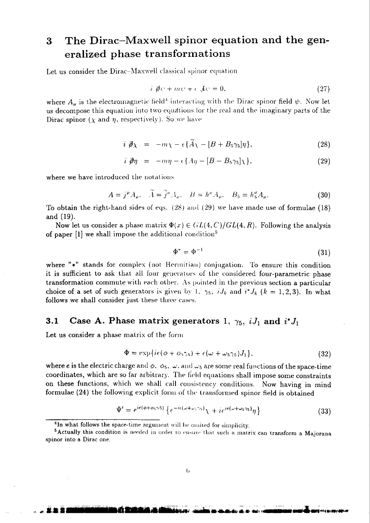# 3 The Dirac-Maxwell spinor equation and the generalized phase transformations

Let us consider the Dirac-Maxwell classical spinor equation

$$
i \not\!\partial \psi + mc + \epsilon \not\!\partial \psi = 0,\tag{27}
$$

where  $A_\mu$  is the electromagnetic field<sup>4</sup> interacting with the Dirac spinor field  $\psi$ . Now let us decompose this equation into two equations tor the real and the imaginary parts of the Dirac spinor  $(\chi$  and  $\eta$ , respectively). So we have

$$
i \not\!\partial \chi = -m\chi - \epsilon \{\widetilde{A}\chi - [B + B_5 \gamma_5] \eta \}, \qquad (28)
$$

$$
i \partial \eta = -m\eta - \epsilon \{ A\eta - [B - B_5 \gamma_5] \chi \}, \qquad (29)
$$

where we have introduced the notations

$$
A = j^{\mu} A_{\mu}, \quad \tilde{A} = \tilde{j}^{\mu} A_{\mu}, \quad B = h^{\mu} A_{\mu}, \quad B_{5} = h_{5}^{\mu} A_{\mu}.
$$
 (30)

To obtain the right-hand sides of eqs. (28) and (29) we have made use of formulae (18) and (19).

Now let us consider a phase matrix  $\Phi(x) \in GL(4, C)/GL(4, R)$ . Following the analysis of paper  $[1]$  we shall impose the additional condition<sup>5</sup>

$$
\Phi^* = \Phi^{-1} \tag{31}
$$

where " $\ast$ " stands for complex (not Hermitian) conjugation. To ensure this condition it is sufficient to ask that all four generators of the considered four-parametric phase transformation commute with each other. As pointed in the previous section a particular choice of a set of such generators is given by 1.  $\gamma_5$ ,  $iJ_k$  and  $i^*J_k$  ( $k = 1,2,3$ ). In what follows we shall consider just these three cases.

### 3.1 Case A. Phase matrix generators 1,  $\gamma_5$ ,  $iJ_1$  and  $i^*J_1$

Let us consider a phase matrix of the form

$$
\Phi = \exp\{i\epsilon(\phi + \phi_5\gamma_5) + \epsilon(\omega + \omega_5\gamma_5)J_1\},\tag{32}
$$

where e is the electric charge and  $\phi$ ,  $\phi_5$ ,  $\omega$ , and  $\omega_5$  are some real functions of the space-time coordinates, which are so far arbitrary. The field equations shall impose some constraints on these functions, which we shall call consistency conditions. Now having in mind formulae (24) the following explicit form of the transformed spinor field is obtained

$$
\Psi' = e^{ie(\phi + \phi_5 \gamma 5)} \left\{ e^{-ie(\omega + \omega_5 \gamma_5)} \chi + i e^{ie(\omega + \omega_5 \gamma_5)} \eta \right\} \tag{33}
$$

<sup>4</sup> In what follows the space-time argument will *he* omiied for simplicity.

<sup>&</sup>lt;sup>5</sup> Actually this condition is needed in order to ensure that such a matrix can transform a Majorana spinor into a Dirac one.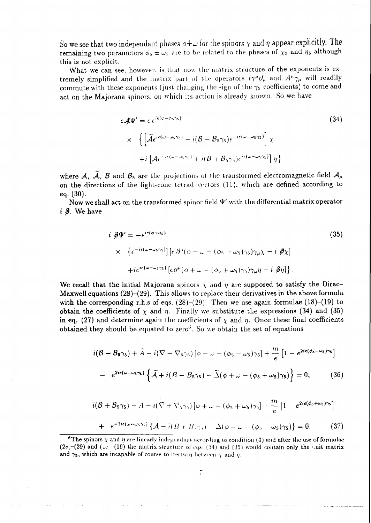So we see that two independent phases  $\phi \pm \omega$  for the spinors  $\chi$  and  $\eta$  appear explicitly. The remaining two parameters  $\phi_5 \pm \omega_5$  are to be related to the phases of  $\chi_5$  and  $\eta_5$  although this is not explicit.

What we can see, however, is that now the matrix structure of the exponents is extremely simplified and the matrix part of the operators  $i\gamma^{\mu}\partial_{\mu}$  and  $A^{\mu}\gamma_{\mu}$  will readily commute with these exponents (just changing the sign of the  $\gamma_5$  coefficients) to come and act on the Majorana spinors. on which its action is already known. So we have

$$
\epsilon \mathcal{A} \Psi' = \dot{e} \epsilon^{i\epsilon(\phi - \phi_5 \gamma_5)} \tag{34}
$$
\n
$$
\times \left\{ \left[ \tilde{\mathcal{A}} \epsilon^{i\epsilon(\omega - \omega_5 \gamma_5)} - i(\mathcal{B} - \mathcal{B}_5 \gamma_5) \epsilon^{-i\epsilon(\omega - \omega_5 \gamma_5)} \right] \chi \right\}
$$
\n
$$
+ i \left[ \mathcal{A} \epsilon^{-i\epsilon(\omega - \omega_5 \gamma_5)} + i(\mathcal{B} + \mathcal{B}_5 \gamma_5) \epsilon^{i\epsilon(\omega - \omega_5 \gamma_5)} \right] \eta \right\}
$$

where  $A$ ,  $\widetilde{A}$ ,  $B$  and  $B$ <sub>5</sub> are the projections of the transformed electromagnetic field  $A_{\mu}$ on the directions of the light-cone tetrad vectors (11), which are defined according to eq. (30).

Now we shall act on the transformed spinor field  $\Psi'$  with the differential matrix operator *i fi.* We have

$$
i \not \partial \Psi' = -e^{ie(\phi - \phi_5)}
$$
\n
$$
\times \left\{ e^{-ie(\omega - \omega_5 \gamma_5)} \right\} \left[ e \partial^{\mu} (\phi - \omega - (\phi_5 - \omega_5) \gamma_5) \gamma_{\mu} \chi - i \partial \chi \right]
$$
\n
$$
+ ie^{ie(\omega - \omega_5 \gamma_5)} \left[ e \partial^{\mu} (\phi + \omega - (\phi_5 + \omega_5) \gamma_5) \gamma_{\mu} \eta - i \partial \eta \right] \right\}.
$$
\n(35)

We recall that the initial Majorana spinors  $\chi$  and  $\eta$  are supposed to satisfy the Dirac-Maxwell equations (28)-(29). This allows to replace their derivatives in the above formula with the corresponding r.h.s of eqs.  $(28)-(29)$ . Then we use again formulae  $(18)-(19)$  to obtain the coefficients of  $\chi$  and  $\eta$ . Finally we substitute the expressions (34) and (35) in eq. (27) and determine again the coefficients of  $\chi$  and  $\eta$ . Once these final coefficients obtained they should be equated to zero<sup>6</sup>. So we obtain the set of equations

$$
i(\mathcal{B} - \mathcal{B}_5\gamma_5) + \widetilde{A} - i(\nabla - \nabla_5\gamma_5) [\varphi - \omega - (\phi_5 - \omega_5)\gamma_5] + \frac{m}{e} \left[1 - e^{2i\epsilon(\phi_5 - \omega_5)\gamma_5}\right]
$$

$$
- e^{2i\epsilon(\omega - \omega_5\gamma_5)} \left\{ \widetilde{\mathcal{A}} + i(B - B_5\gamma_5) - \widetilde{\Delta}(\phi + \omega - (\phi_5 + \omega_5)\gamma_5) \right\} = 0, \quad (36)
$$

$$
i(\mathcal{B} + \mathcal{B}_5\gamma_5) - A - i(\nabla + \nabla_5\gamma_5) [\circ + \omega - (\phi_5 + \omega_5)\gamma_5] - \frac{m}{e} \left[1 - e^{2i\epsilon(\phi_5 + \omega_5)\gamma_5}\right]
$$
  
+ 
$$
e^{-2i\epsilon(\omega - \omega_5\gamma_5)} \left\{\mathcal{A} - i(B + B_{5\gamma_5}) - \Delta(\phi - \omega - (\phi_5 - \omega_5)\gamma_5)\right\} = 0, \quad (37)
$$

 ${}^6$ The spinors  $\chi$  and  $\eta$  are linearly independant according to condition (3) and after the use of formulae  $(2e)$  (29) and (i.e. (19) the matrix structure of eqs. (34) and (35) would contain only the '.nit matrix and  $\gamma_5$ , which are incapable of course to itertwin between  $\chi$  and  $\eta$ .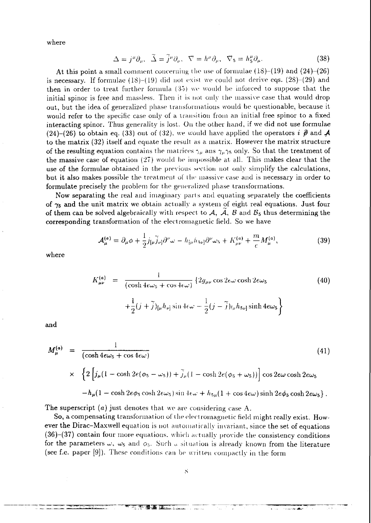where

$$
\Delta = j^{\mu} \partial_{\mu}, \quad \widetilde{\Delta} = \widetilde{j}^{\mu} \partial_{\mu}, \quad \nabla = h^{\mu} \partial_{\mu}, \quad \nabla_{5} = h^{\mu}_{5} \partial_{\mu}.
$$
 (38)

At this point a small comment concerning the use of formulae  $(18)$ – $(19)$  and  $(24)$ – $(26)$ is necessary. If formulae  $(18)$ – $(19)$  did not exist we could not derive eqs.  $(28)$ – $(29)$  and then in order to treat further formula  $(35)$  we would be inforced to suppose that the initial spinor is free and massless. Then it is not only the massive case that would drop out, but the idea of generalized phase transformations would be questionable, because it would refer to the specific case only of a transition from an initial free spinor to a fixed interacting spinor. Thus generality is lost. On the other hand, if we did not use formulae (24)-(26) to obtain eq. (33) out of (32), we would have applied the operators i  $\hat{\rho}$  and  $\hat{\rho}$ to the matrix (32) itself and equate the result as a matrix. However the matrix structure of the resulting equation contains the matrices  $\gamma_u$  ans  $\gamma_u \gamma_5$  only. So that the treatment of the massive case of equation  $(27)$  would be impossible at all. This makes clear that the use of the formulae obtained in the previous section not only simplify the calculations, but it also makes possible the treatment of (lie massive case and is necessary in order to formulate precisely the problem for the generalized phase transformations.

Now separating the real and imaginary parts and equating separately the coefficients of  $\gamma_5$  and the unit matrix we obtain actually a system of eight real equations. Just four of them can be solved algebraically with respect to  $A$ ,  $A$ ,  $B$  and  $B_5$  thus determining the corresponding transformation of the electromagnetic field. So we have

$$
\mathcal{A}_{\mu}^{(a)} = \partial_{\mu}\phi + \frac{1}{2}j_{\left[\mu\right]}j_{\nu\right]}\partial^{\nu}\omega - h_{\left[\mu\right]}i_{5\nu\right]}\partial^{\nu}\omega_{5} + K_{\mu\nu}^{(a)} + \frac{m}{c}M_{\mu}^{(a)},\tag{39}
$$

where

$$
K_{\mu\nu}^{(a)} = \frac{1}{(\cosh 4\epsilon\omega_5 + \cos 4\epsilon\omega)} \left\{ 2g_{\mu\nu} \cos 2\epsilon\omega \cosh 2\epsilon\omega_5 + \frac{1}{2}(j + \tilde{j})_{[\mu}h_{\nu]} \sin 4\epsilon\omega - \frac{1}{2}(j - \tilde{j})_{[\mu}h_{5\nu]} \sinh 4\epsilon\omega_5 \right\}
$$
(40)

and

$$
M_{\mu}^{(a)} = \frac{1}{(\cosh 4\epsilon\omega_5 + \cos 4\epsilon\omega)}
$$
\n
$$
\times \left\{ 2\left[ j_{\mu}(1 - \cosh 2\epsilon(\phi_5 - \omega_5)) + \tilde{j}_{\mu}(1 - \cosh 2\epsilon(\phi_5 + \omega_5)) \right] \cos 2\epsilon\omega \cosh 2\epsilon\omega_5 - h_{\mu}(1 - \cosh 2\epsilon\phi_5 \cosh 2\epsilon\omega_5) \sin 4\epsilon\omega + h_{5\mu}(1 + \cos 4\epsilon\omega) \sinh 2\epsilon\phi_5 \cosh 2\epsilon\omega_5 \right\}.
$$
\n(41)

The superscript (a) just denotes that we are considering case A.

'.19'iS

So, a compensating transformation of the electromagnetic field might really exist. However the Dirac-Maxwell equation is not automatically invariant, since the set of equations (36)-(37) contain four more equations, which actually provide the consistency conditions for the parameters  $\omega$ ,  $\omega_5$  and  $\varphi_5$ . Such a situation is already known from the literature (see f.e. paper [9]). These conditions can be written compactly in the form

 $\pm 1$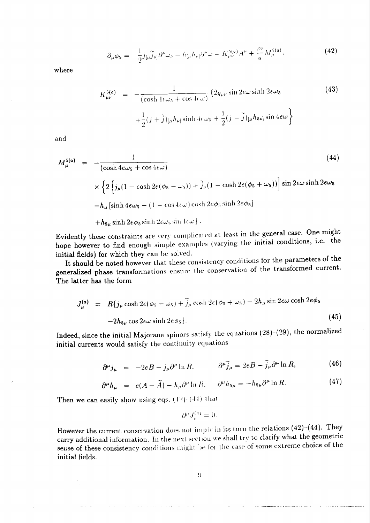$$
\partial_{\mu}\phi_5 = -\frac{1}{2}j_{\left[\mu\right]}\widetilde{j}_{\nu\left]}\partial^{\nu}\omega_5 - h_{\left[\mu\right]}\widetilde{k}_{\nu\left]}\partial^{\nu}\omega + K_{\mu\nu}^{5(a)}A^{\nu} + \frac{m}{a}M_{\mu}^{5(a)},\tag{42}
$$

where

$$
K_{\mu\nu}^{5(a)} = -\frac{1}{(\cosh 4\epsilon\omega_5 + \cos 4\epsilon\omega)} \left\{ 2g_{\mu\nu} \sin 2\epsilon\omega \sinh 2\epsilon\omega_5 + \frac{1}{2}(j+\tilde{j})_{[\mu}h_{\nu]} \sinh 4\epsilon\omega_5 + \frac{1}{2}(j-\tilde{j})_{[\mu}h_{5\nu]} \sin 4\epsilon\omega \right\}
$$
(43)

and

a constantial contracts

$$
M_{\mu}^{5(a)} = -\frac{1}{(\cosh 4e\omega_5 + \cos 4\epsilon \omega)}
$$
\n
$$
\times \left\{ 2\left[ j_{\mu} (1 - \cosh 2e(\phi_5 - \omega_5)) + \tilde{j}_{\mu} (1 - \cosh 2e(\phi_5 + \omega_5)) \right] \sin 2e\omega \sinh 2e\omega_5 - h_{\mu} [\sinh 4e\omega_5 - (1 - \cos 4\epsilon \omega) \cosh 2e\phi_5 \sinh 2e\phi_5] + h_{5\mu} \sinh 2e\phi_5 \sinh 2\epsilon \omega_5 \sinh \omega_5.
$$
\n(44)

Evidently these constraints are very complicated at least in the general case. One might hope however to find enough simple examples (varying the initial conditions, i.e. the initial fields) for which they can be solved.

It should be noted however that these consistency conditions for the parameters of the generalized phase transformations ensure the conservation of the transformed current. The latter has the form

$$
J_{\mu}^{(a)} = R\{j_{\mu}\cosh 2e(\phi_5 - \omega_5) + \tilde{j}_{\mu}\cosh 2e(\phi_5 + \omega_5) - 2h_{\mu}\sin 2e\omega\cosh 2e\phi_5
$$
  

$$
-2h_{5\mu}\cos 2e\omega\sinh 2e\phi_5\}.
$$
 (45)

Indeed, since the initial Majorana spinors satisfy the equations  $(28)$ - $(29)$ , the normalized initial currents would satisfy the continuity equations

$$
\partial^{\mu} j_{\mu} = -2eB - j_{\mu} \partial^{\mu} \ln R. \qquad \partial^{\mu} \tilde{j}_{\mu} = 2eB - \tilde{j}_{\mu} \partial^{\mu} \ln R, \qquad (46)
$$

$$
\partial^{\mu}h_{\mu} = e(A - \widetilde{A}) - h_{\mu}\partial^{\mu}\ln R, \quad \partial^{\mu}h_{5\mu} = -h_{5\mu}\partial^{\mu}\ln R. \tag{47}
$$

Then we can easily show using eqs.  $(42)$  (44) that

المحصوص والمحاوي والمحاور الماليون

$$
\partial^{\mu}J_{\mu}^{(n)}=0
$$

However the current conservation does not imply in its turn the relations  $(42)-(44)$ . They carry additional information. In the next section we shall try to clarify what the geometric sense of these consistency conditions might be for the case of some extreme choice of the initial fields.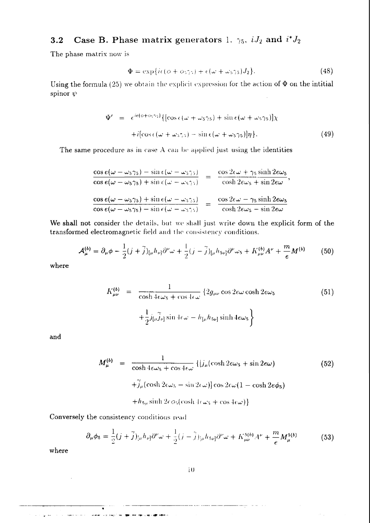# 3.2 Case B. Phase matrix generators 1.  $\gamma_5$ ,  $iJ_2$  and  $i^*J_2$

The phase matrix now is

$$
\Phi = \exp\{i\epsilon(\phi + \phi_5\gamma_5) + \epsilon(\omega + \omega_5\gamma_5)J_2\}.
$$
\n(48)

Using the formula (25) we obtain the explicit expression for the action of  $\Phi$  on the intitial spinor  $\psi$ :

$$
\Psi' = \epsilon^{i\epsilon(\phi + \phi_5 \gamma_5)} \{ [\cos \epsilon(\omega + \omega_5 \gamma_5) + \sin \epsilon(\omega + \omega_5 \gamma_5)] \chi
$$
  
 
$$
+ i [\cos \epsilon(\omega + \omega_5 \gamma_5) - \sin \epsilon(\omega + \omega_5 \gamma_5)] \eta \}.
$$
 (49)

The same procedure as in case A can be applied just using the identities

$$
\frac{\cos e(\omega - \omega_5 \gamma_5) - \sin e(\omega - \omega_5 \gamma_5)}{\cos e(\omega - \omega_5 \gamma_5) + \sin e(\omega - \omega_5 \gamma_5)} = \frac{\cos 2e\omega + \gamma_5 \sinh 2e\omega_5}{\cosh 2e\omega_5 + \sin 2e\omega},
$$

$$
\frac{\cos e(\omega - \omega_5 \gamma_5) + \sin e(\omega - \omega_5 \gamma_5)}{\cos e(\omega - \omega_5 \gamma_5) - \sin e(\omega - \omega_5 \gamma_5)} = \frac{\cos 2e\omega - \gamma_5 \sinh 2e\omega_5}{\cosh 2e\omega_5 - \sin 2e\omega}
$$

**We shall** not consider the details, but we shall just write down the explicit form of the transformed electromagnetic field and the consistency conditions.

$$
\mathcal{A}_{\mu}^{(b)} = \partial_{\mu}\phi - \frac{1}{2}(j+\tilde{j})_{\left\{\mu\right\}}h_{\nu\right\}}\partial^{\nu}\omega + \frac{1}{2}(j-\tilde{j})_{\left\{\mu\right\}}h_{5\nu\right\}}\partial^{\nu}\omega_{5} + K_{\mu\nu}^{(b)}A^{\nu} + \frac{m}{e}M^{(b)} \tag{50}
$$

**where**

$$
K_{\mu\nu}^{(b)} = \frac{1}{\cosh 4\epsilon \omega_5 + \cos 4\epsilon \omega} \left\{ 2g_{\mu\nu} \cos 2\epsilon \omega \cosh 2\epsilon \omega_5 + \frac{1}{2} j_{[\mu} \tilde{j}_{\nu]} \sin 4\epsilon \omega - h_{[\mu} h_{5\nu]} \sinh 4\epsilon \omega_5 \right\}
$$
(51)

**and**

$$
M_{\mu}^{(b)} = \frac{1}{\cosh 4\epsilon\omega_5 + \cos 4\epsilon\omega} \left\{ |j_{\mu}(\cosh 2\epsilon\omega_5 + \sin 2\epsilon\omega) - \widetilde{j}_{\mu}(\cosh 2\epsilon\omega_5 - \sin 2\epsilon\omega) \right\} \cos 2\epsilon\omega (1 - \cosh 2\epsilon\phi_5) + h_{5\mu} \sinh 2\epsilon\phi_5(\cosh 4\epsilon\omega_5 + \cos 4\epsilon\omega) \right\}
$$
 (52)

Conversely the consistency conditions read

.<br>State in the complete of the complete and analytical **Bo**tter of the complete and the complete of the complete

$$
\partial_{\mu}\phi_5 = \frac{1}{2}(j+\tilde{j})_{\mu}h_{\nu\bar{j}}\partial^{\nu}\omega + \frac{1}{2}(j-\tilde{j})_{\mu}h_{5\nu\bar{j}}\partial^{\nu}\omega + K_{\mu\nu}^{5(b)}A^{\nu} + \frac{m}{e}M_{\mu}^{5(b)} \tag{53}
$$

 $\mathcal{P}(\mathcal{A})$ 

where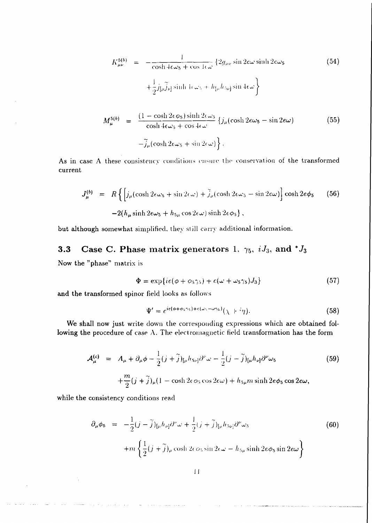$$
K_{\mu\nu}^{5(b)} = -\frac{1}{\cosh 4\epsilon \omega_5 + \cos 1\epsilon \omega} \left\{ 2g_{\mu\nu} \sin 2\epsilon \omega \sinh 2\epsilon \omega_5 + \frac{1}{2} j_{[\mu} \tilde{j}_{\nu]} \sinh 4\epsilon \omega_5 + h_{[\mu} h_{5\nu]} \sin 4\epsilon \omega \right\}
$$
(54)

$$
M_{\mu}^{5(b)} = \frac{(1 - \cosh 2\epsilon\varphi_5) \sinh 2\epsilon\omega_5}{\cosh 4\epsilon\omega_5 + \cos 4\epsilon\omega} \left\{ j_{\mu}(\cosh 2\epsilon\omega_5 - \sin 2\epsilon\omega) - \widetilde{j}_{\mu}(\cosh 2\epsilon\omega_5 + \sin 2\epsilon\omega) \right\}.
$$
 (55)

As in case A these consistency conditions ensure the conservation of the transformed current

$$
J_{\mu}^{(b)} = R \left\{ \left[ j_{\mu}(\cosh 2\epsilon \omega_5 + \sin 2\epsilon \omega) + \tilde{j}_{\mu}(\cosh 2\epsilon \omega_5 - \sin 2\epsilon \omega) \right] \cosh 2e\phi_5 - 2(h_{\mu}\sinh 2\epsilon \omega_5 + h_{5\mu}\cos 2\epsilon \omega) \sinh 2\epsilon \phi_5 \right\},
$$
 (56)

but although somewhat simplified, they still carry additional information.

#### Case C. Phase matrix generators 1,  $\gamma_5$ , i $J_3$ , and  $^*J_3$  $3.3$

Now the "phase" matrix is

$$
\Phi = \exp\{ie(\phi + \phi_5\gamma_5) + e(\omega + \omega_5\gamma_5)J_3\} \tag{57}
$$

and the transformed spinor field looks as follows

$$
\Psi' = e^{i\epsilon(\omega + \phi_5 \gamma_5) + \epsilon(\omega_5 - \omega \gamma_5)} (\lambda + i\eta).
$$
 (58)

We shall now just write down the corresponding expressions which are obtained following the procedure of case A. The electromagnetic field transformation has the form

$$
\mathcal{A}_{\mu}^{(c)} = A_{\mu} + \partial_{\mu}\phi - \frac{1}{2}(j + \tilde{j})_{[\mu}h_{5\nu]}\partial^{\nu}\omega - \frac{1}{2}(j - \tilde{j})_{[\mu}h_{\nu]}\partial^{\nu}\omega_{5} \n+ \frac{m}{2}(j + \tilde{j})_{\mu}(1 - \cosh 2\epsilon\phi_{5}\cos 2\epsilon\omega) + h_{5\mu}m\sinh 2e\phi_{5}\cos 2\epsilon\omega,
$$
\n(59)

while the consistency conditions read

$$
\partial_{\mu}\phi_{5} = -\frac{1}{2}(j - \tilde{j})_{\mu}h_{\nu j}\partial^{\nu}\omega + \frac{1}{2}(j + \tilde{j})_{\mu}h_{5\nu j}\partial^{\nu}\omega_{5}
$$
\n
$$
+ m\left\{\frac{1}{2}(j + \tilde{j})_{\mu}\cosh 2\epsilon\omega_{5}\sin 2\epsilon\omega - h_{5\mu}\sinh 2\epsilon\phi_{5}\sin 2\epsilon\omega\right\}
$$
\n(60)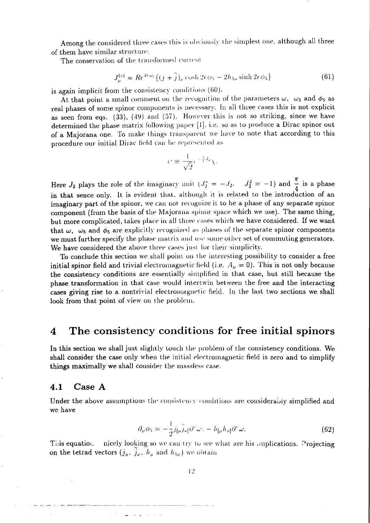Among the considered three cases this is obviously the simplest one, although all three of them have similar structure.

The conservation of the transformed current

$$
J_{\mu}^{(c)} = Re^{2\epsilon \omega_5} \{ (j + \tilde{j})_{\mu} \cosh 2\epsilon \omega_5 - 2h_{5\mu} \sinh 2\epsilon \omega_5 \}
$$
(61)

is again implicit from the consistency conditions (60).

At that point a small comment on the recognition of the parameters  $\omega$ ,  $\omega_5$  and  $\phi_5$  as real phases of some spinor components is necessary. In all three cases this is not explicit as seen from eqs. (33), (49) and (57). However this is not so striking, since we have determined the phase matrix following paper [l]. i.e. so as to produce a Dirac spinor out of a Majorana one. To make things transparent we have to note that according to this procedure our initial Dirac field can be represented as

$$
\psi \equiv \frac{1}{\sqrt{2}} e^{-\frac{\pi}{4}J_2} \chi.
$$

Here  $J_2$  plays the role of the imaginary unit  $(J_2^* = -J_2, \quad J_2^2 = -1)$  and  $\frac{\pi}{4}$  is a phase in that sence only. It is evident that, although it is related to the introduction of an imaginary part of the spinor, we can not recognize it to be a phase of any separate spinor component (from the basis of the Majorana spinor space which we use). The same thing, but more complicated, takes place in all three cases which we have considered. If we want that  $\omega$ ,  $\omega_5$  and  $\phi_5$  are explicitly recognized as phases of the separate spinor components we must further specify the phase matrix and use some other set of commuting generators. We have considered the above three cases just for their simplicity.

To conclude this section we shall point on the interesting possibility to consider a free initial spinor field and trivial electromagnetic field (i.e.  $A_\mu = 0$ ). This is not only because the consistency conditions are essentially simplified in that case, but still because the phase transformation in that case would intertwin between the free and the interacting cases giving rise to a nontrivial electromagnetic field. In the last two sections we shall look from that point of view on the problem.

### 4 The consistency conditions for free initial spinors

In this section we shall just slightly touch the problem of the consistency conditions. We shall consider the case only when the initial electromagnetic field is zero and to simplify things maximally we shall consider the massiess case.

#### 4.1 Case A

Under the above assumptions the consistency conditions are considerably simplified and we have

$$
\partial_{\mu}\phi_{5} = -\frac{1}{2}j_{\left[\mu\right]}\hat{j}_{\nu\left]}\partial^{\nu}\omega_{5} - h_{\left[\mu}h_{\nu\right]}\partial^{\nu}\omega. \tag{62}
$$

This equation. nicely looking so we can try to see what are his implications. Projecting on the tetrad vectors  $(j_{\mu}, j_{\mu}, h_{\mu}$  and  $h_{5\mu}$ ) we obtain

 $12$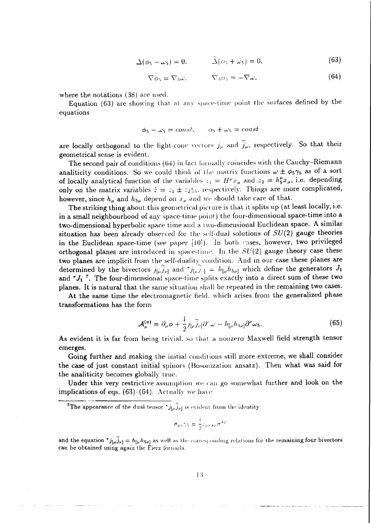$$
\Delta(\phi_5 - \omega_5) = 0. \qquad \widetilde{\Delta}(\phi_5 + \omega_5) = 0. \tag{63}
$$

$$
\nabla \phi_5 = \nabla_5 \omega, \qquad \nabla_5 \phi_5 = -\nabla \omega, \qquad (64)
$$

where the notations (38) are used.

Equation (63) are showing that at any space -time point the surfaces defined by the equations

$$
\phi_5 - \omega_5 = const. \qquad \phi_5 + \omega_5 = const
$$

are locally orthogonal to the light-cone vectors  $j_n$  and  $\tilde{j}_n$ , respectively. So that their geometrical sense is evident.

The second pair of conditions (64) in fact formally coincides with the Cauchy-Riemann analiticity conditions. So we could think of the matrix functions  $\omega \pm \phi_5\gamma_5$  as of a sort of locally analytical function of the variables  $z_1 = H^\mu x_\mu$  and  $z_2 = h^\mu_\mu x_\mu$ , i.e. depending only on the matrix variables  $\hat{z} = z_1 \pm z_2 \gamma_5$ . respectively. Things are more complicated, however, since  $h_\mu$  and  $h_{5\mu}$  depend on  $x_\mu$  and we should take care of that.

The striking thing about this geometrical picture is that it splits up (at least locally, i.e. in a small neighbourhood of any space-time point) the four-dimensional space-time into a two-dimensional hyperbolic space time and a two-dimensional Euclidean space. A similar situation has been already observed for the self-dual solutions of  $SU(2)$  gauge theories in the Euclidean space-time (see paper  $[10]$ ). In both cases, however, two privileged orthogonal planes are introduced in space-linn'. In the *SU(2)* gauge theory case these two planes are implicit from the self-duality condition. And in our case these planes are determined by the bivectors  $j_{\{\mu}\tilde{j}_{\nu\}}$  and " $j_{\{\mu}\tilde{j}_{\nu\}} = h_{\{\mu}h_{5\mu\}}$  which define the generators  $J_1$ and  $^*J_1$ <sup>7</sup>. The four-dimensional space-time splits exactly into a direct sum of these two planes. It is natural that the same situation shall be repeated in the remaining two cases.

At the same time the electromagnetic field, which arises from the generalized phase transformations has the form

$$
\mathcal{A}_{\mu}^{(a)} = \partial_{\mu}\phi + \frac{1}{2}j_{\left[\mu\right]}j_{\nu\left]}\partial^{\nu}\omega - h_{\left[\mu\right]}h_{5\nu\left]}\partial^{\nu}\omega_{5}.
$$
\n(65)

As evident it is far from being trivial, so thai a nonzero Maxwell field strength tensor emerges.

Going further and making the initial conditions still more extreme, we shall consider the case of just constant initial spinors (Bosonization ansatz). Then what was said for the analiticity becomes globally true.

Under this very restrictive assumption we < an go somewhat further and look on the implications of eqs. (63)-(64). Actually we have

 $^7\mathrm{The}\text{ appearance of the dual tensor }\gamma_{[\mu}\bar{j}_{\nu]}$  is evident from the identity

$$
\tau_{\mu\nu}\gamma5 = \frac{1}{2}\varepsilon_{\mu\nu\lambda\rho}\sigma^{\lambda\rho}
$$

and the equation  $^*j_{[\mu}j_{\nu]}=h_{[\mu}h_{5\nu]}$  as well as the corresponding relations for the remaining four bivectors can be obtained using again the Fierz fonimla.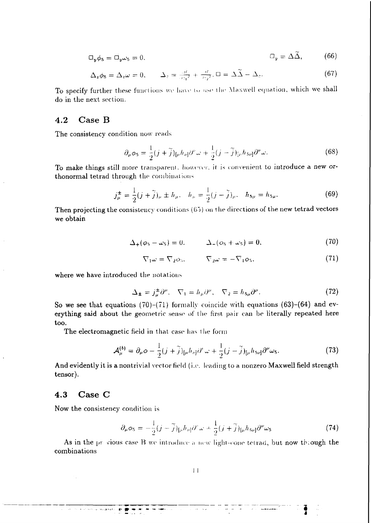$$
\Box_y \phi_5 = \Box_y \omega_5 = 0, \qquad \Box_y = \Delta \tilde{\Delta}, \qquad (66)
$$

$$
\Delta_z \phi_5 = \Delta_z \omega = 0, \qquad \Delta_z = \frac{\partial^2}{\partial z_1^2} + \frac{\partial^2}{\partial z_2^2}, \Box = \Delta \widetilde{\Delta} - \Delta_z. \tag{67}
$$

To specify further these functions we have to use the Maxwell equation, which we shall do in the next section.

#### 4.2 Case B

The consistency condition now reads

$$
\partial_{\mu}\phi_{5} = \frac{1}{2}(j+\tilde{j})_{\mu}h_{\nu\bar{j}}\partial^{\nu}\omega + \frac{1}{2}(j-\tilde{j})_{\mu}h_{5\nu\bar{j}}\partial^{\nu}\omega.
$$
 (68)

To make things still more transparent, however, il is convenient to introduce a new orthonormal tetrad through the combinations

$$
j_{\mu}^{\pm} = \frac{1}{2}(j + \tilde{j})_{\mu} \pm h_{\mu}, \quad h_{\mu} = \frac{1}{2}(j - \tilde{j})_{\mu}, \quad h_{5\mu} = h_{5\mu}.
$$
 (69)

Then projecting the consistency conditions  $(65)$  on the directions of the new tetrad vectors we obtain

$$
\Delta_{+}(\phi_{5}-\omega_{5})=0.\qquad \Delta_{+}(\phi_{5}+\omega_{5})=0.
$$
\n(70)

$$
\nabla_1 \omega = \nabla_2 \omega_3, \qquad \nabla_2 \omega = -\nabla_1 \omega_5.
$$
 (71)

where we have introduced the notations

$$
\Delta_{\pm} = j_{\mu}^{\pm} \partial^{\mu}, \quad \nabla_{1} = h_{\mu} \partial^{\mu}, \quad \nabla_{2} = h_{5\mu} \partial^{\mu}.
$$
 (72)

So we see that equations (70)–(71) formally coincide with equations (63)–(64) and everything said about the geometric sense of the first pair can be literally repeated here too.

The electromagnetic field in that case has the form

$$
\mathcal{A}_{\mu}^{(b)} = \partial_{\mu}\phi - \frac{1}{2}(j+\tilde{j})_{\mu}h_{\nu j}\partial^{\nu}\omega + \frac{1}{2}(j-\tilde{j})_{\mu}h_{5\nu j}\partial^{\nu}\omega_{5}.
$$
 (73)

And evidently it is a nontrivial vector field (i.e. leading to a nonzero Maxwell field strength tensor).

#### 4.3 Case C

 $\hat{z}^{(1)}$  and  $\hat{z}^{(2)}$  are all the topology MS ([]]  $\hat{\Phi}$  Such as

"那"

Now the consistency condition is

$$
\partial_{\mu}\phi_{5} = -\frac{1}{2}(j-\tilde{j})_{\mu}h_{\nu\bar{j}}\partial^{\nu}\omega + \frac{1}{2}(j+\tilde{j})_{\mu}h_{5\nu\bar{j}}\partial^{\nu}\omega_{5}
$$
(74)

أنسسسس الرابات الحرارة المراقب

As in the provious case B we introduce a new light-cone tetrad, but now through the combinations

 $\alpha = \kappa \omega$  .

 $\overline{\Theta}$  ,  $\overline{\Theta}$  ,  $\overline{\Theta}$  ,  $\overline{\Theta}$  ,  $\overline{\Theta}$  ,  $\overline{\Theta}$  ,  $\overline{\Theta}$  ,  $\overline{\Theta}$  ,  $\overline{\Theta}$  ,  $\overline{\Theta}$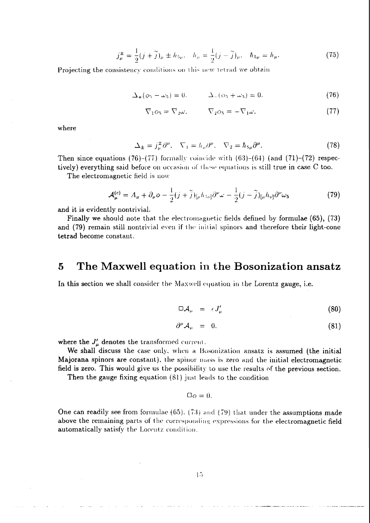$$
j^{\pm}_{\mu} = \frac{1}{2}(j + \tilde{j})_{\mu} \pm h_{5\mu}, \quad h_{\mu} = \frac{1}{2}(j - \tilde{j})_{\mu}, \quad h_{5\mu} = h_{\mu}.
$$
 (75)

Projecting the consistency conditions on this new tetrad we obtain

$$
\Delta_+(\varphi_5 - \omega_5) = 0. \qquad \Delta_-(\varphi_5 + \omega_5) = 0. \tag{76}
$$

$$
\nabla_1 \phi_5 = \nabla_2 \omega, \qquad \nabla_2 \phi_5 = -\nabla_1 \omega. \tag{77}
$$

where

$$
\Delta_{\pm} = j_{\mu}^{\pm} \partial^{\mu}, \quad \nabla_{\pm} = h_{\mu} \partial^{\mu}, \quad \nabla_{2} = \hbar_{5\mu} \partial^{\mu}.
$$
 (78)

Then since equations (76)–(77) formally coincide with (63)–(64) (and (71)–(72) respectively) everything said before on occasion of iliese equations is still true in case C too.

The electromagnetic field is now

$$
\mathcal{A}_{\mu}^{(c)} = A_{\mu} + \partial_{\mu}\phi - \frac{1}{2}(j + \tilde{j})_{\mu}h_{5\nu\bar{j}}\partial^{\nu}\omega - \frac{1}{2}(j - \tilde{j})_{\mu}h_{\nu\bar{j}}\partial^{\nu}\omega_{5}
$$
(79)

**and** it is evidently nontrivial.

**Finally** we should note that the electromagnetic fields defined by formulae (65), (73) and (79) remain still nontrivial even if the initial spinors and therefore their light-cone **tetrad** become constant.

#### 5 The Maxwell equation in the Bosonization ansatz

**In this** section we shall consider the Maxwell equation in the Lorentz gauge, i.e.

$$
\Box \mathcal{A}_{\mu} = \epsilon J'_{\mu} \tag{80}
$$

$$
\partial^{\mu} \mathcal{A}_{\mu} = 0. \tag{81}
$$

where the  $J'_{\mu}$  denotes the transformed current.

We shall discuss the case only, when a Bosonization ansatz is assumed (the initial **Majorana** spinors are constant), the spinor mass is zero and the initial **electromagnetic field is zero. This would** give us the possibility to use the results of the previous section.

**Then** the gauge fixing equation (81) just leads to the condition

$$
\Box \phi = 0.
$$

One can readily see from formulae (65). (73) and (79) that under the assumptions made above the remaining parts of the corresponding expressions for the electromagnetic field automatically satisfy the Lorentz condition.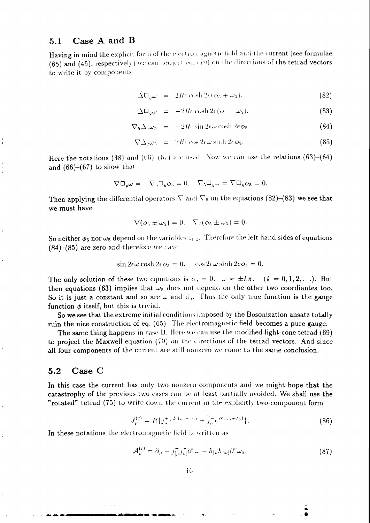#### Case A and B  $5.1$

Having in mind the explicit form of the electromagnetic field and the current (see formulae (65) and (45), respectively) we can project eq.  $(79)$  on the directions of the tetrad vectors to write it by components

$$
\widetilde{\Delta}\Box_{\mu}\omega = 2Re\cosh 2\epsilon(\phi_5 + \omega_5). \tag{82}
$$

$$
\Delta \Box_{g} \omega = -2Re \cosh 2\epsilon (\phi_5 - \omega_5). \tag{83}
$$

$$
\nabla_5 \Delta_5 \omega_5 = -2R \sin 2\epsilon \omega \cosh 2\epsilon \varphi_5 \tag{84}
$$

$$
\nabla \Delta_z \omega_5 = 2R\cos 2\omega \sinh 2\omega_5. \tag{85}
$$

Here the notations (38) and (66) (67) are used. Now we can use the relations (63)-(64) and  $(66)-(67)$  to show that

$$
\nabla \Box_y \omega = -\nabla_5 \Box_y \phi_5 = 0, \quad \nabla_5 \Box_y \omega = \nabla \Box_y \phi_5 = 0.
$$

Then applying the differential operators  $\nabla$  and  $\nabla_5$  on the equations (82)–(83) we see that we must have

$$
\nabla(\phi_5 \pm \omega_5) = 0, \quad \nabla_5(\phi_5 \pm \omega_5) = 0.
$$

So neither  $\phi_5$  nor  $\omega_5$  depend on the variables  $z_{1,2}$ . Therefore the left hand sides of equations (84)-(85) are zero and therefore we have

$$
\sin 2\epsilon\omega\cosh 2\epsilon\phi_5 = 0, \quad \cos 2\epsilon\omega\sinh 2\epsilon\phi_5 = 0.
$$

The only solution of these two equations is  $\phi_5 = 0$ .  $\omega = \pm k\pi$ ,  $(k = 0, 1, 2, ...)$ . But then equations (63) implies that  $\omega_5$  does not depend on the other two coordiantes too. So it is just a constant and so are  $\omega$  and  $\phi_5$ . Thus the only true function is the gauge function  $\phi$  itself, but this is trivial.

So we see that the extreme initial conditions imposed by the Bosonization ansatz totally ruin the nice construction of eq. (65). The electromagnetic field becomes a pure gauge.

The same thing happens in case B. Here we can use the modified light-cone tetrad (69) to project the Maxwell equation (79) on the directions of the tetrad vectors. And since all four components of the current are still nonzero we come to the same conclusion.

#### 5.2  $Case C$

In this case the current has only two nonzero components and we might hope that the catastrophy of the previous two cases can be at least partially avoided. We shall use the "rotated" tetrad (75) to write down the current in the explicitly two-component form

$$
J_{\mu}^{(c)} = R\{j_{\mu}^+e^{2\epsilon(\omega_1 - \omega_2)} + \tilde{j}_{\mu}^-e^{2\epsilon(\omega_2 + \omega_3)}\}.
$$
 (86)

In these notations the electromagnetic field is written as

$$
\mathcal{A}_{\mu}^{(c)} = \partial_{\mu} + j_{[\mu}^+ j_{\nu]}^- \partial^{\nu} \omega - h_{[\mu} h_{5\nu]} \partial^{\nu} \omega_5.
$$
 (87)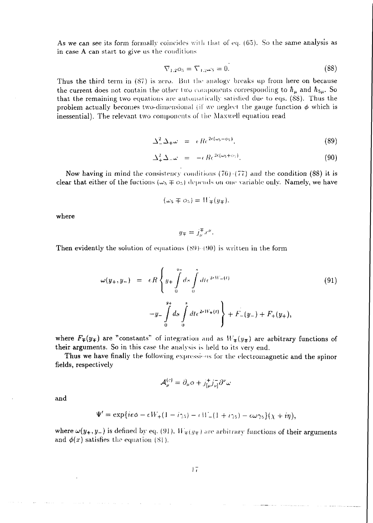As we can see its form formally coincides with that of eq. (65). So the same analysis as in case  $A$  can start to give us the conditions

$$
\nabla_{1,2}\phi_5 = \nabla_{1,2}\omega_5 = 0. \tag{88}
$$

Thus the third term in (87) is zero. Bui the analogy breaks up from here on because the current does not contain the other two components corresponding to  $\hbar_u$  and  $\hbar_{5\mu}$ . So that the remaining two equations are automatically satisfied due to eqs. (88). Thus the problem actually becomes two-dimensional (if we neglect the gauge function  $\phi$  which is inessential). The relevant two components of the Maxwell equation read

$$
\Delta^2_-\Delta_+\omega = eRe^{2\epsilon(\omega_5-\omega_5)}.
$$
 (89)

$$
\Delta_+^2 \Delta_+ \omega = -\epsilon R \epsilon^{2\epsilon(\omega_3 + \phi_3)}.
$$
\n(90)

Now having in mind the consistency conditions (76)-(77) and the condition (88) it is clear that either of the fuctions ( $\omega_5 \mp \omega_5$ ) depends on one variable only. Namely, we have

$$
(\omega_5 \mp \phi_5) = \Pi_{\pm}(y_{\mp}).
$$

where

$$
y_{\mp} = j_{\mu}^{\mp} x^{\mu}
$$

Then evidently the solution of equations  $(89)-(90)$  is written in the form

$$
\omega(y_+, y_-) = \epsilon R \left\{ y_+ \int_0^{y_-} ds \int_0^z dt e^{2\epsilon W_- (t)} -y_- \int_0^{y_+} ds \int_0^s dt e^{2\epsilon W_+ (t)} \right\} + F_-(y_-) + F_+(y_+), \tag{91}
$$

where  $F_{\pm}(y_{\mp})$  are "constants" of integration and as  $W_{\mp}(y_{\mp})$  are arbitrary functions of their arguments. So in this case the analysis is held to its very end.

Thus we have finally the following expressions for the electromagnetic and the spinor fields, respectively

$$
\mathcal{A}_{\mu}^{(c)}=\partial_{\mu}\phi+j_{[\mu}^{+}j_{\nu]}^{-}\partial^{\nu}\omega
$$

and

$$
\Psi' = \exp\{i\epsilon\phi - \epsilon W_+(1 - i\gamma_5) - \epsilon W_-(1 + i\gamma_5) - \epsilon\omega\gamma_5\}(\chi + i\eta),
$$

where  $\omega(y_+,y_-)$  is defined by eq. (91). If  $_{\tau(y_{\tau})}$  are arbitrary functions of their arguments and  $\phi(x)$  satisfies the equation (81).

 $17$